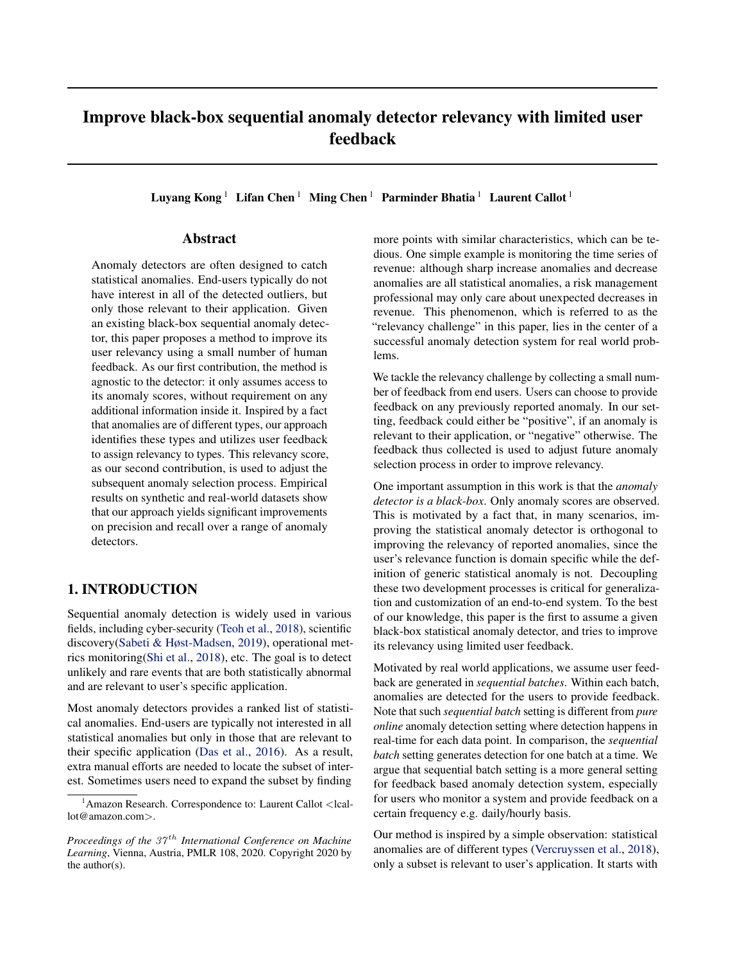# Improve black-box sequential anomaly detector relevancy with limited user feedback

Luyang Kong<sup>1</sup> Lifan Chen<sup>1</sup> Ming Chen<sup>1</sup> Parminder Bhatia<sup>1</sup> Laurent Callot<sup>1</sup>

## Abstract

Anomaly detectors are often designed to catch statistical anomalies. End-users typically do not have interest in all of the detected outliers, but only those relevant to their application. Given an existing black-box sequential anomaly detector, this paper proposes a method to improve its user relevancy using a small number of human feedback. As our first contribution, the method is agnostic to the detector: it only assumes access to its anomaly scores, without requirement on any additional information inside it. Inspired by a fact that anomalies are of different types, our approach identifies these types and utilizes user feedback to assign relevancy to types. This relevancy score, as our second contribution, is used to adjust the subsequent anomaly selection process. Empirical results on synthetic and real-world datasets show that our approach yields significant improvements on precision and recall over a range of anomaly detectors.

# 1. INTRODUCTION

Sequential anomaly detection is widely used in various fields, including cyber-security [\(Teoh et al.,](#page-5-0) [2018\)](#page-5-0), scientific discovery[\(Sabeti & Høst-Madsen,](#page-5-0) [2019\)](#page-5-0), operational metrics monitoring[\(Shi et al.,](#page-5-0) [2018\)](#page-5-0), etc. The goal is to detect unlikely and rare events that are both statistically abnormal and are relevant to user's specific application.

Most anomaly detectors provides a ranked list of statistical anomalies. End-users are typically not interested in all statistical anomalies but only in those that are relevant to their specific application [\(Das et al.,](#page-4-0) [2016\)](#page-4-0). As a result, extra manual efforts are needed to locate the subset of interest. Sometimes users need to expand the subset by finding

more points with similar characteristics, which can be tedious. One simple example is monitoring the time series of revenue: although sharp increase anomalies and decrease anomalies are all statistical anomalies, a risk management professional may only care about unexpected decreases in revenue. This phenomenon, which is referred to as the "relevancy challenge" in this paper, lies in the center of a successful anomaly detection system for real world problems.

We tackle the relevancy challenge by collecting a small number of feedback from end users. Users can choose to provide feedback on any previously reported anomaly. In our setting, feedback could either be "positive", if an anomaly is relevant to their application, or "negative" otherwise. The feedback thus collected is used to adjust future anomaly selection process in order to improve relevancy.

One important assumption in this work is that the *anomaly detector is a black-box*. Only anomaly scores are observed. This is motivated by a fact that, in many scenarios, improving the statistical anomaly detector is orthogonal to improving the relevancy of reported anomalies, since the user's relevance function is domain specific while the definition of generic statistical anomaly is not. Decoupling these two development processes is critical for generalization and customization of an end-to-end system. To the best of our knowledge, this paper is the first to assume a given black-box statistical anomaly detector, and tries to improve its relevancy using limited user feedback.

Motivated by real world applications, we assume user feedback are generated in *sequential batches*. Within each batch, anomalies are detected for the users to provide feedback. Note that such *sequential batch* setting is different from *pure online* anomaly detection setting where detection happens in real-time for each data point. In comparison, the *sequential batch* setting generates detection for one batch at a time. We argue that sequential batch setting is a more general setting for feedback based anomaly detection system, especially for users who monitor a system and provide feedback on a certain frequency e.g. daily/hourly basis.

Our method is inspired by a simple observation: statistical anomalies are of different types [\(Vercruyssen et al.,](#page-5-0) [2018\)](#page-5-0), only a subset is relevant to user's application. It starts with

<sup>&</sup>lt;sup>1</sup>Amazon Research. Correspondence to: Laurent Callot <lcallot@amazon.com>.

*Proceedings of the 37<sup>th</sup> International Conference on Machine Learning*, Vienna, Austria, PMLR 108, 2020. Copyright 2020 by the author(s).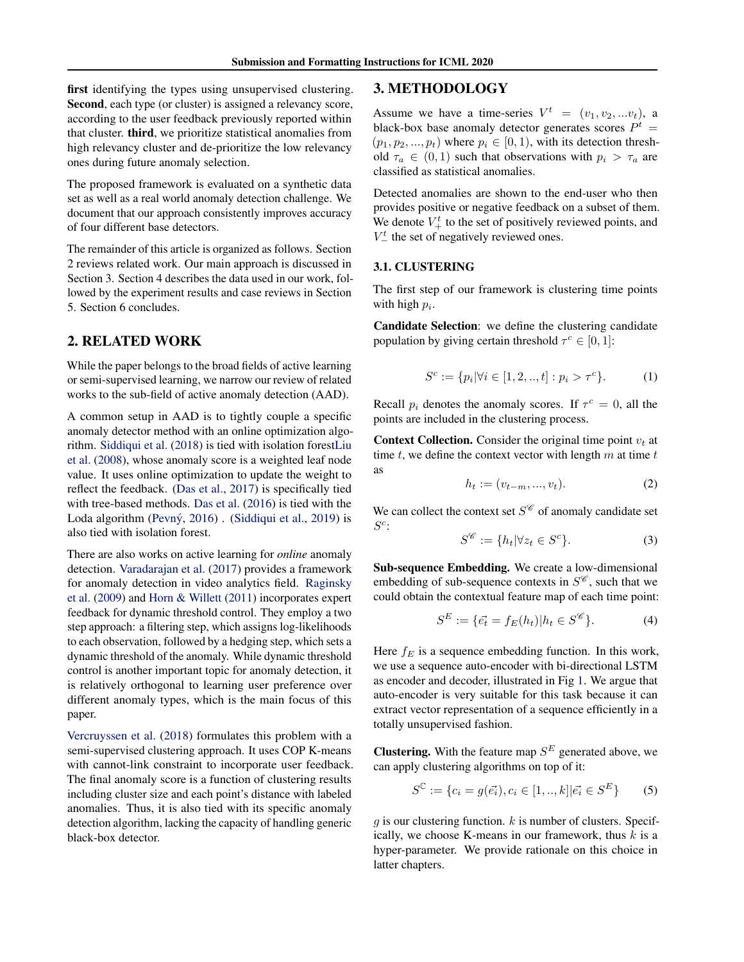first identifying the types using unsupervised clustering. Second, each type (or cluster) is assigned a relevancy score, according to the user feedback previously reported within that cluster. third, we prioritize statistical anomalies from high relevancy cluster and de-prioritize the low relevancy ones during future anomaly selection.

The proposed framework is evaluated on a synthetic data set as well as a real world anomaly detection challenge. We document that our approach consistently improves accuracy of four different base detectors.

The remainder of this article is organized as follows. Section 2 reviews related work. Our main approach is discussed in Section 3. Section 4 describes the data used in our work, followed by the experiment results and case reviews in Section 5. Section 6 concludes.

# 2. RELATED WORK

While the paper belongs to the broad fields of active learning or semi-supervised learning, we narrow our review of related works to the sub-field of active anomaly detection (AAD).

A common setup in AAD is to tightly couple a specific anomaly detector method with an online optimization algorithm. [Siddiqui et al.](#page-5-0) [\(2018\)](#page-5-0) is tied with isolation fores[tLiu](#page-4-0) [et al.](#page-4-0) [\(2008\)](#page-4-0), whose anomaly score is a weighted leaf node value. It uses online optimization to update the weight to reflect the feedback. [\(Das et al.,](#page-4-0) [2017\)](#page-4-0) is specifically tied with tree-based methods. [Das et al.](#page-4-0) [\(2016\)](#page-4-0) is tied with the Loda algorithm (Pevný, [2016\)](#page-5-0) . [\(Siddiqui et al.,](#page-5-0) [2019\)](#page-5-0) is also tied with isolation forest.

There are also works on active learning for *online* anomaly detection. [Varadarajan et al.](#page-5-0) [\(2017\)](#page-5-0) provides a framework for anomaly detection in video analytics field. [Raginsky](#page-5-0) [et al.](#page-5-0) [\(2009\)](#page-5-0) and [Horn & Willett](#page-4-0) [\(2011\)](#page-4-0) incorporates expert feedback for dynamic threshold control. They employ a two step approach: a filtering step, which assigns log-likelihoods to each observation, followed by a hedging step, which sets a dynamic threshold of the anomaly. While dynamic threshold control is another important topic for anomaly detection, it is relatively orthogonal to learning user preference over different anomaly types, which is the main focus of this paper.

[Vercruyssen et al.](#page-5-0) [\(2018\)](#page-5-0) formulates this problem with a semi-supervised clustering approach. It uses COP K-means with cannot-link constraint to incorporate user feedback. The final anomaly score is a function of clustering results including cluster size and each point's distance with labeled anomalies. Thus, it is also tied with its specific anomaly detection algorithm, lacking the capacity of handling generic black-box detector.

## 3. METHODOLOGY

Assume we have a time-series  $V^t = (v_1, v_2, ... v_t)$ , a black-box base anomaly detector generates scores  $P^t =$  $(p_1, p_2, ..., p_t)$  where  $p_i \in [0, 1)$ , with its detection threshold  $\tau_a \in (0,1)$  such that observations with  $p_i > \tau_a$  are classified as statistical anomalies.

Detected anomalies are shown to the end-user who then provides positive or negative feedback on a subset of them. We denote  $V^t_+$  to the set of positively reviewed points, and  $V_{-}^{t}$  the set of negatively reviewed ones.

#### 3.1. CLUSTERING

The first step of our framework is clustering time points with high  $p_i$ .

Candidate Selection: we define the clustering candidate population by giving certain threshold  $\tau^c \in [0, 1]$ :

$$
S^{c} := \{ p_i | \forall i \in [1, 2, \dots, t] : p_i > \tau^{c} \}. \tag{1}
$$

Recall  $p_i$  denotes the anomaly scores. If  $\tau^c = 0$ , all the points are included in the clustering process.

**Context Collection.** Consider the original time point  $v_t$  at time  $t$ , we define the context vector with length  $m$  at time  $t$ as

$$
h_t := (v_{t-m}, ..., v_t). \tag{2}
$$

We can collect the context set  $S^{\mathscr{C}}$  of anomaly candidate set  $S^c$ :

$$
S^{\mathscr{C}} := \{ h_t | \forall z_t \in S^c \}. \tag{3}
$$

Sub-sequence Embedding. We create a low-dimensional embedding of sub-sequence contexts in  $S^{\mathscr{C}}$ , such that we could obtain the contextual feature map of each time point:

$$
S^{E} := \{ \vec{e_t} = f_E(h_t) | h_t \in S^{\mathscr{C}} \}.
$$
 (4)

Here  $f_E$  is a sequence embedding function. In this work, we use a sequence auto-encoder with bi-directional LSTM as encoder and decoder, illustrated in Fig [1.](#page-2-0) We argue that auto-encoder is very suitable for this task because it can extract vector representation of a sequence efficiently in a totally unsupervised fashion.

**Clustering.** With the feature map  $S^E$  generated above, we can apply clustering algorithms on top of it:

$$
S^{\mathbb{C}} := \{c_i = g(\vec{e_i}), c_i \in [1, ..., k] | \vec{e_i} \in S^E\}
$$
 (5)

 $g$  is our clustering function.  $k$  is number of clusters. Specifically, we choose K-means in our framework, thus  $k$  is a hyper-parameter. We provide rationale on this choice in latter chapters.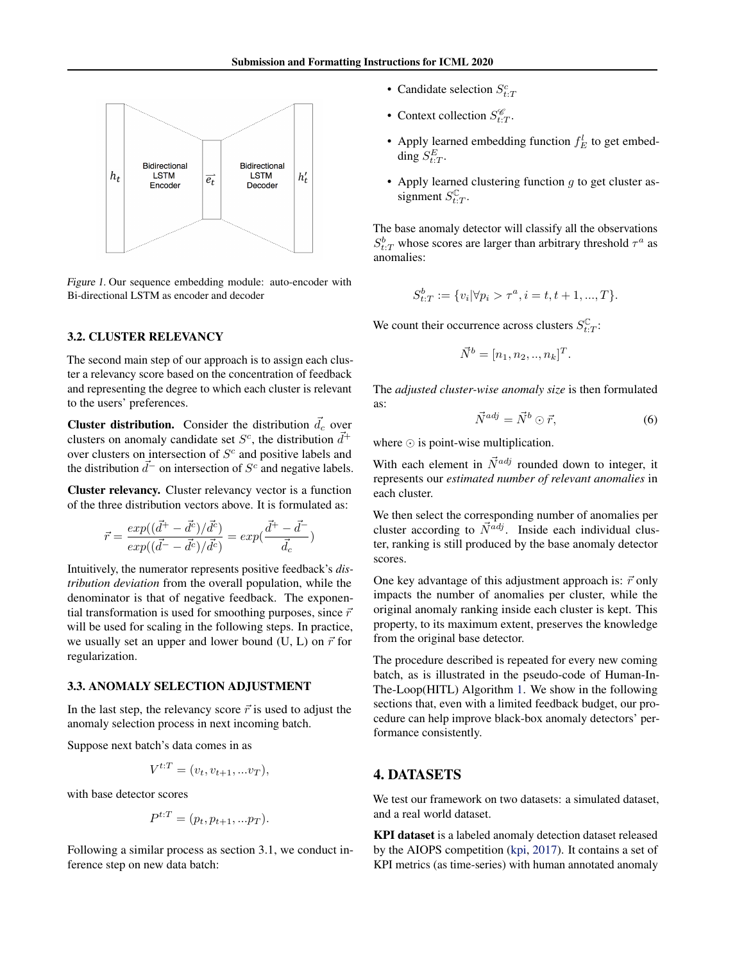<span id="page-2-0"></span>

Figure 1. Our sequence embedding module: auto-encoder with Bi-directional LSTM as encoder and decoder

#### 3.2. CLUSTER RELEVANCY

The second main step of our approach is to assign each cluster a relevancy score based on the concentration of feedback and representing the degree to which each cluster is relevant to the users' preferences.

**Cluster distribution.** Consider the distribution  $\vec{d}_c$  over clusters on anomaly candidate set  $S^c$ , the distribution  $\vec{d}^+$ over clusters on intersection of  $S<sup>c</sup>$  and positive labels and the distribution  $\vec{d}^-$  on intersection of  $S^c$  and negative labels.

Cluster relevancy. Cluster relevancy vector is a function of the three distribution vectors above. It is formulated as:

$$
\vec{r}=\frac{exp((\vec{d}^{+}-\vec{d}^{c})/\vec{d}^{c})}{exp((\vec{d}^{-}-\vec{d}^{c})/\vec{d}^{c})}=exp(\frac{\vec{d}^{+}-\vec{d}^{-}}{\vec{d}_{c}})
$$

Intuitively, the numerator represents positive feedback's *distribution deviation* from the overall population, while the denominator is that of negative feedback. The exponential transformation is used for smoothing purposes, since  $\vec{r}$ will be used for scaling in the following steps. In practice, we usually set an upper and lower bound (U, L) on  $\vec{r}$  for regularization.

#### 3.3. ANOMALY SELECTION ADJUSTMENT

In the last step, the relevancy score  $\vec{r}$  is used to adjust the anomaly selection process in next incoming batch.

Suppose next batch's data comes in as

$$
V^{t:T} = (v_t, v_{t+1}, \dots v_T),
$$

with base detector scores

$$
P^{t:T} = (p_t, p_{t+1}, \ldots p_T).
$$

Following a similar process as section 3.1, we conduct inference step on new data batch:

- Candidate selection  $S_{t:T}^c$
- Context collection  $S_{t:T}^{\mathscr{C}}$ .
- Apply learned embedding function  $f_E^l$  to get embedding  $S_{t:T}^E$ .
- Apply learned clustering function  $g$  to get cluster assignment  $S_{t:T}^{\mathbb{C}}$ .

The base anomaly detector will classify all the observations  $S_{t:T}^b$  whose scores are larger than arbitrary threshold  $\tau^a$  as anomalies:

$$
S_{t:T}^b := \{v_i | \forall p_i > \tau^a, i = t, t+1, ..., T\}.
$$

We count their occurrence across clusters  $S_{t:T}^{\mathbb{C}}$ :

$$
\vec{N}^b = [n_1, n_2, ..., n_k]^T.
$$

The *adjusted cluster-wise anomaly size* is then formulated as:

$$
\vec{N}^{adj} = \vec{N}^b \odot \vec{r}, \tag{6}
$$

where  $\odot$  is point-wise multiplication.

With each element in  $\vec{N}^{adj}$  rounded down to integer, it represents our *estimated number of relevant anomalies* in each cluster.

We then select the corresponding number of anomalies per cluster according to  $\vec{N}^{adj}$ . Inside each individual cluster, ranking is still produced by the base anomaly detector scores.

One key advantage of this adjustment approach is:  $\vec{r}$  only impacts the number of anomalies per cluster, while the original anomaly ranking inside each cluster is kept. This property, to its maximum extent, preserves the knowledge from the original base detector.

The procedure described is repeated for every new coming batch, as is illustrated in the pseudo-code of Human-In-The-Loop(HITL) Algorithm [1.](#page-3-0) We show in the following sections that, even with a limited feedback budget, our procedure can help improve black-box anomaly detectors' performance consistently.

# 4. DATASETS

We test our framework on two datasets: a simulated dataset, and a real world dataset.

KPI dataset is a labeled anomaly detection dataset released by the AIOPS competition [\(kpi,](#page-4-0) [2017\)](#page-4-0). It contains a set of KPI metrics (as time-series) with human annotated anomaly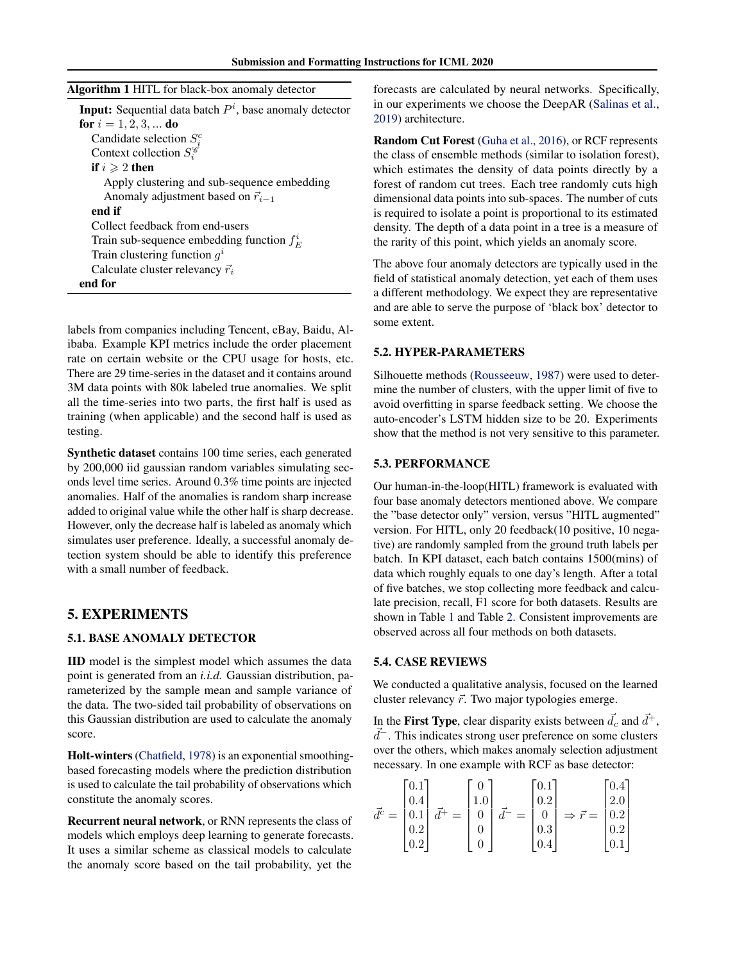<span id="page-3-0"></span>

|  | Algorithm 1 HITL for black-box anomaly detector |  |
|--|-------------------------------------------------|--|
|--|-------------------------------------------------|--|

| <b>Input:</b> Sequential data batch $Pi$ , base anomaly detector |
|------------------------------------------------------------------|
| for $i = 1, 2, 3, $ do                                           |
| Candidate selection $S_i^c$                                      |
| Context collection $S_i^{\mathscr{C}}$                           |
| if $i \geqslant 2$ then                                          |
| Apply clustering and sub-sequence embedding                      |
| Anomaly adjustment based on $\vec{r}_{i-1}$                      |
| end if                                                           |
| Collect feedback from end-users                                  |
| Train sub-sequence embedding function $f_E^i$                    |
| Train clustering function $g^i$                                  |
| Calculate cluster relevancy $\vec{r}_i$                          |
| end for                                                          |

labels from companies including Tencent, eBay, Baidu, Alibaba. Example KPI metrics include the order placement rate on certain website or the CPU usage for hosts, etc. There are 29 time-series in the dataset and it contains around 3M data points with 80k labeled true anomalies. We split all the time-series into two parts, the first half is used as training (when applicable) and the second half is used as testing.

Synthetic dataset contains 100 time series, each generated by 200,000 iid gaussian random variables simulating seconds level time series. Around 0.3% time points are injected anomalies. Half of the anomalies is random sharp increase added to original value while the other half is sharp decrease. However, only the decrease half is labeled as anomaly which simulates user preference. Ideally, a successful anomaly detection system should be able to identify this preference with a small number of feedback.

## 5. EXPERIMENTS

### 5.1. BASE ANOMALY DETECTOR

IID model is the simplest model which assumes the data point is generated from an *i.i.d.* Gaussian distribution, parameterized by the sample mean and sample variance of the data. The two-sided tail probability of observations on this Gaussian distribution are used to calculate the anomaly score.

Holt-winters [\(Chatfield,](#page-4-0) [1978\)](#page-4-0) is an exponential smoothingbased forecasting models where the prediction distribution is used to calculate the tail probability of observations which constitute the anomaly scores.

Recurrent neural network, or RNN represents the class of models which employs deep learning to generate forecasts. It uses a similar scheme as classical models to calculate the anomaly score based on the tail probability, yet the

forecasts are calculated by neural networks. Specifically, in our experiments we choose the DeepAR [\(Salinas et al.,](#page-5-0) [2019\)](#page-5-0) architecture.

Random Cut Forest [\(Guha et al.,](#page-4-0) [2016\)](#page-4-0), or RCF represents the class of ensemble methods (similar to isolation forest), which estimates the density of data points directly by a forest of random cut trees. Each tree randomly cuts high dimensional data points into sub-spaces. The number of cuts is required to isolate a point is proportional to its estimated density. The depth of a data point in a tree is a measure of the rarity of this point, which yields an anomaly score.

The above four anomaly detectors are typically used in the field of statistical anomaly detection, yet each of them uses a different methodology. We expect they are representative and are able to serve the purpose of 'black box' detector to some extent.

#### 5.2. HYPER-PARAMETERS

Silhouette methods [\(Rousseeuw,](#page-5-0) [1987\)](#page-5-0) were used to determine the number of clusters, with the upper limit of five to avoid overfitting in sparse feedback setting. We choose the auto-encoder's LSTM hidden size to be 20. Experiments show that the method is not very sensitive to this parameter.

#### 5.3. PERFORMANCE

Our human-in-the-loop(HITL) framework is evaluated with four base anomaly detectors mentioned above. We compare the "base detector only" version, versus "HITL augmented" version. For HITL, only 20 feedback(10 positive, 10 negative) are randomly sampled from the ground truth labels per batch. In KPI dataset, each batch contains 1500(mins) of data which roughly equals to one day's length. After a total of five batches, we stop collecting more feedback and calculate precision, recall, F1 score for both datasets. Results are shown in Table [1](#page-4-0) and Table [2.](#page-4-0) Consistent improvements are observed across all four methods on both datasets.

#### 5.4. CASE REVIEWS

We conducted a qualitative analysis, focused on the learned cluster relevancy  $\vec{r}$ . Two major typologies emerge.

In the First Type, clear disparity exists between  $\vec{d}_c$  and  $\vec{d}^+$ ,  $\vec{d}$ <sup>-</sup>. This indicates strong user preference on some clusters over the others, which makes anomaly selection adjustment necessary. In one example with RCF as base detector:

$$
\vec{d}^c = \begin{bmatrix} 0.1 \\ 0.4 \\ 0.1 \\ 0.2 \\ 0.2 \end{bmatrix} \vec{d}^+ = \begin{bmatrix} 0 \\ 1.0 \\ 0 \\ 0 \\ 0 \end{bmatrix} \vec{d}^- = \begin{bmatrix} 0.1 \\ 0.2 \\ 0 \\ 0.3 \\ 0.4 \end{bmatrix} \Rightarrow \vec{r} = \begin{bmatrix} 0.4 \\ 2.0 \\ 0.2 \\ 0.2 \\ 0.1 \end{bmatrix}
$$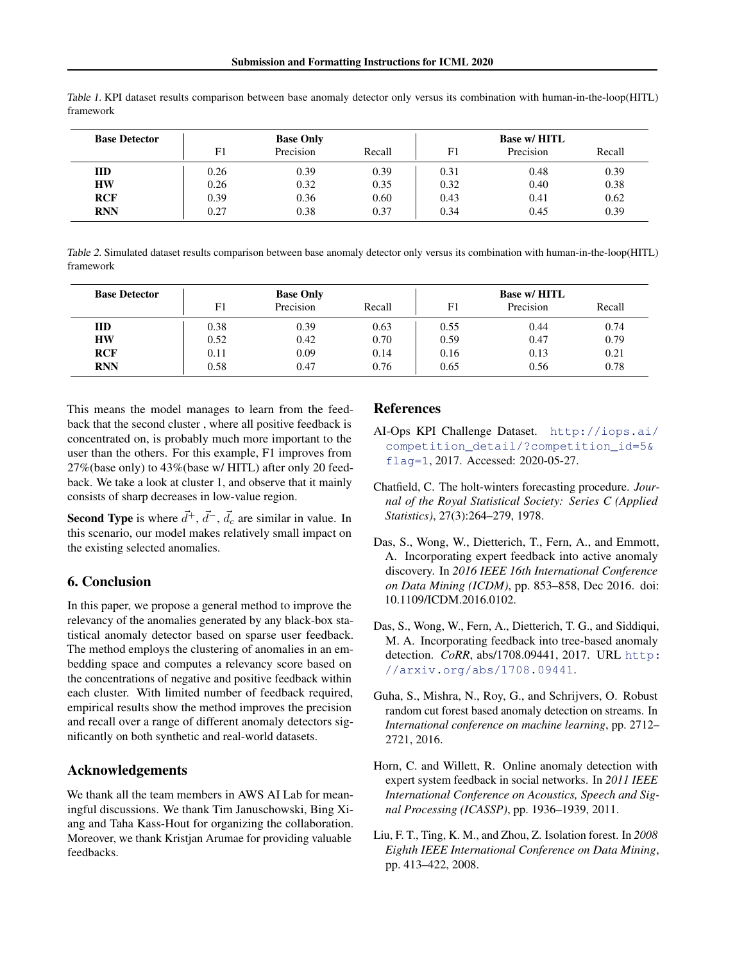| <b>Base Detector</b> | <b>Base Only</b> |           |        | <b>Base w/ HITL</b> |           |        |
|----------------------|------------------|-----------|--------|---------------------|-----------|--------|
|                      | F1               | Precision | Recall | F1                  | Precision | Recall |
| <b>IID</b>           | 0.26             | 0.39      | 0.39   | 0.31                | 0.48      | 0.39   |
| <b>HW</b>            | 0.26             | 0.32      | 0.35   | 0.32                | 0.40      | 0.38   |
| <b>RCF</b>           | 0.39             | 0.36      | 0.60   | 0.43                | 0.41      | 0.62   |
| <b>RNN</b>           | 0.27             | 0.38      | 0.37   | 0.34                | 0.45      | 0.39   |

<span id="page-4-0"></span>Table 1. KPI dataset results comparison between base anomaly detector only versus its combination with human-in-the-loop(HITL) framework

Table 2. Simulated dataset results comparison between base anomaly detector only versus its combination with human-in-the-loop(HITL) framework

| <b>Base Detector</b> | <b>Base Only</b> |           |        | <b>Base w/ HITL</b> |           |        |
|----------------------|------------------|-----------|--------|---------------------|-----------|--------|
|                      | F1               | Precision | Recall | F1                  | Precision | Recall |
| <b>IID</b>           | 0.38             | 0.39      | 0.63   | 0.55                | 0.44      | 0.74   |
| <b>HW</b>            | 0.52             | 0.42      | 0.70   | 0.59                | 0.47      | 0.79   |
| <b>RCF</b>           | 0.11             | 0.09      | 0.14   | 0.16                | 0.13      | 0.21   |
| <b>RNN</b>           | 0.58             | 0.47      | 0.76   | 0.65                | 0.56      | 0.78   |

This means the model manages to learn from the feedback that the second cluster , where all positive feedback is concentrated on, is probably much more important to the user than the others. For this example, F1 improves from 27%(base only) to 43%(base w/ HITL) after only 20 feedback. We take a look at cluster 1, and observe that it mainly consists of sharp decreases in low-value region.

**Second Type** is where  $\vec{d}^+, \vec{d}^-, \vec{d}_c$  are similar in value. In this scenario, our model makes relatively small impact on the existing selected anomalies.

# 6. Conclusion

In this paper, we propose a general method to improve the relevancy of the anomalies generated by any black-box statistical anomaly detector based on sparse user feedback. The method employs the clustering of anomalies in an embedding space and computes a relevancy score based on the concentrations of negative and positive feedback within each cluster. With limited number of feedback required, empirical results show the method improves the precision and recall over a range of different anomaly detectors significantly on both synthetic and real-world datasets.

## Acknowledgements

We thank all the team members in AWS AI Lab for meaningful discussions. We thank Tim Januschowski, Bing Xiang and Taha Kass-Hout for organizing the collaboration. Moreover, we thank Kristjan Arumae for providing valuable feedbacks.

## References

- AI-Ops KPI Challenge Dataset. [http://iops.ai/](http://iops.ai/competition_detail/?competition_id=5&flag=1) [competition\\_detail/?competition\\_id=5&](http://iops.ai/competition_detail/?competition_id=5&flag=1) [flag=1](http://iops.ai/competition_detail/?competition_id=5&flag=1), 2017. Accessed: 2020-05-27.
- Chatfield, C. The holt-winters forecasting procedure. *Journal of the Royal Statistical Society: Series C (Applied Statistics)*, 27(3):264–279, 1978.
- Das, S., Wong, W., Dietterich, T., Fern, A., and Emmott, A. Incorporating expert feedback into active anomaly discovery. In *2016 IEEE 16th International Conference on Data Mining (ICDM)*, pp. 853–858, Dec 2016. doi: 10.1109/ICDM.2016.0102.
- Das, S., Wong, W., Fern, A., Dietterich, T. G., and Siddiqui, M. A. Incorporating feedback into tree-based anomaly detection. *CoRR*, abs/1708.09441, 2017. URL [http:](http://arxiv.org/abs/1708.09441) [//arxiv.org/abs/1708.09441](http://arxiv.org/abs/1708.09441).
- Guha, S., Mishra, N., Roy, G., and Schrijvers, O. Robust random cut forest based anomaly detection on streams. In *International conference on machine learning*, pp. 2712– 2721, 2016.
- Horn, C. and Willett, R. Online anomaly detection with expert system feedback in social networks. In *2011 IEEE International Conference on Acoustics, Speech and Signal Processing (ICASSP)*, pp. 1936–1939, 2011.
- Liu, F. T., Ting, K. M., and Zhou, Z. Isolation forest. In *2008 Eighth IEEE International Conference on Data Mining*, pp. 413–422, 2008.